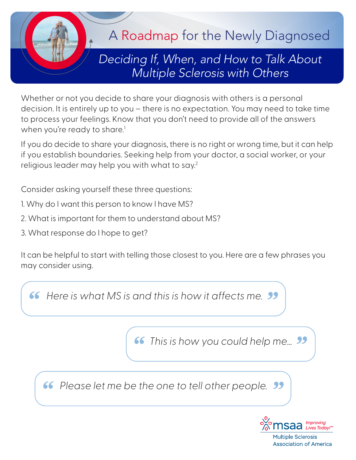

Whether or not you decide to share your diagnosis with others is a personal decision. It is entirely up to you – there is no expectation. You may need to take time to process your feelings. Know that you don't need to provide all of the answers when you're ready to share.<sup>1</sup>

If you do decide to share your diagnosis, there is no right or wrong time, but it can help if you establish boundaries. Seeking help from your doctor, a social worker, or your religious leader may help you with what to say.<sup>2</sup>

Consider asking yourself these three questions:

- 1. Why do I want this person to know I have MS?
- 2. What is important for them to understand about MS?
- 3. What response do I hope to get?

It can be helpful to start with telling those closest to you. Here are a few phrases you may consider using.

**66** Here is what MS is and this is how it affects me.

**66** This is how you could help me...

*" Please let me be the one to tell other people.*



**Multiple Sclerosis Association of America**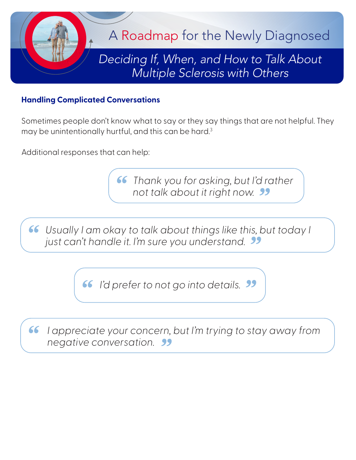

## **Handling Complicated Conversations**

Sometimes people don't know what to say or they say things that are not helpful. They may be unintentionally hurtful, and this can be hard.<sup>3</sup>

Additional responses that can help:

*" Thank you for asking, but I'd rather not talk about it right now.*

**"** Usually I am okay to talk about things like this, but today I just can't handle it. I'm sure you understand. *just can't handle it. I'm sure you understand.*

*" I'd prefer to not go into details.*

*" I appreciate your concern, but I'm trying to stay away from negative conversation.*